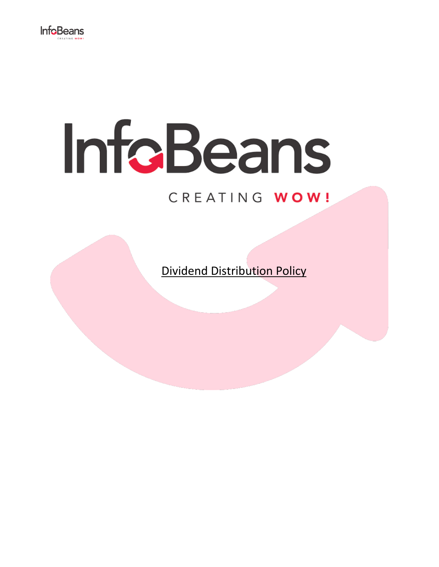

# InfoBeans

# CREATING WOW!

Dividend Distribution Policy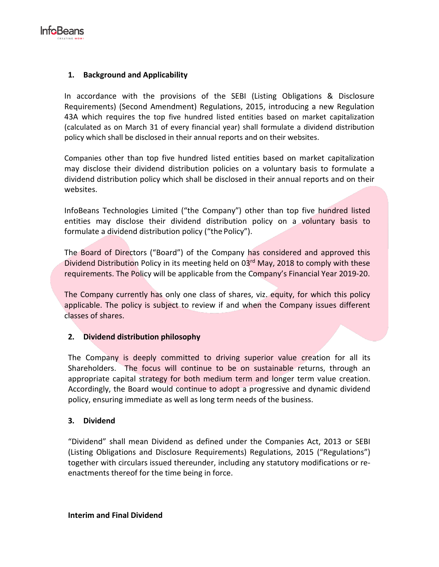

#### **1. Background and Applicability**

In accordance with the provisions of the SEBI (Listing Obligations & Disclosure Requirements) (Second Amendment) Regulations, 2015, introducing a new Regulation 43A which requires the top five hundred listed entities based on market capitalization (calculated as on March 31 of every financial year) shall formulate a dividend distribution policy which shall be disclosed in their annual reports and on their websites.

Companies other than top five hundred listed entities based on market capitalization may disclose their dividend distribution policies on a voluntary basis to formulate a dividend distribution policy which shall be disclosed in their annual reports and on their websites.

InfoBeans Technologies Limited ("the Company") other than top five hundred listed entities may disclose their dividend distribution policy on a voluntary basis to formulate a dividend distribution policy ("the Policy").

The Board of Directors ("Board") of the Company has considered and approved this Dividend Distribution Policy in its meeting held on 03<sup>rd</sup> May, 2018 to comply with these requirements. The Policy will be applicable from the Company's Financial Year 2019-20.

The Company currently has only one class of shares, viz. equity, for which this policy applicable. The policy is subject to review if and when the Company issues different classes of shares.

# **2. Dividend distribution philosophy**

The Company is deeply committed to driving superior value creation for all its Shareholders. The focus will continue to be on sustainable returns, through an appropriate capital strategy for both medium term and longer term value creation. Accordingly, the Board would continue to adopt a progressive and dynamic dividend policy, ensuring immediate as well as long term needs of the business.

#### **3. Dividend**

"Dividend" shall mean Dividend as defined under the Companies Act, 2013 or SEBI (Listing Obligations and Disclosure Requirements) Regulations, 2015 ("Regulations") together with circulars issued thereunder, including any statutory modifications or reenactments thereof for the time being in force.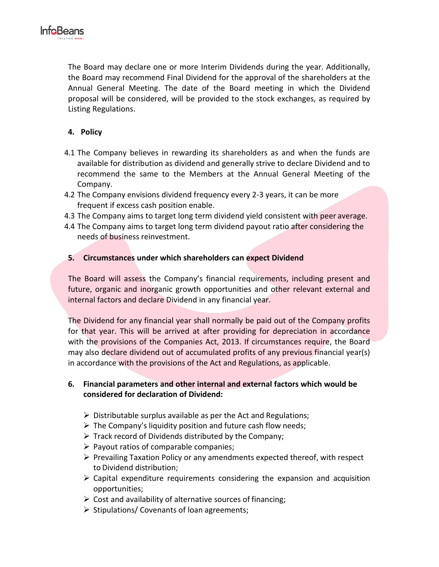

The Board may declare one or more Interim Dividends during the year. Additionally, the Board may recommend Final Dividend for the approval of the shareholders at the Annual General Meeting. The date of the Board meeting in which the Dividend proposal will be considered, will be provided to the stock exchanges, as required by Listing Regulations.

# **4. Policy**

- 4.1 The Company believes in rewarding its shareholders as and when the funds are available for distribution as dividend and generally strive to declare Dividend and to recommend the same to the Members at the Annual General Meeting of the Company.
- 4.2 The Company envisions dividend frequency every 2-3 years, it can be more frequent if excess cash position enable.
- 4.3 The Company aims to target long term dividend yield consistent with peer average.
- 4.4 The Company aims to target long term dividend payout ratio after considering the needs of business reinvestment.

## **5. Circumstances under which shareholders can expect Dividend**

The Board will assess the Company's financial requirements, including present and future, organic and inorganic growth opportunities and other relevant external and internal factors and declare Dividend in any financial year.

The Dividend for any financial year shall normally be paid out of the Company profits for that year. This will be arrived at after providing for depreciation in accordance with the provisions of the Companies Act, 2013. If circumstances require, the Board may also declare dividend out of accumulated profits of any previous financial year(s) in accordance with the provisions of the Act and Regulations, as applicable.

## **6. Financial parameters and other internal and external factors which would be considered for declaration of Dividend:**

- $\triangleright$  Distributable surplus available as per the Act and Regulations;
- $\triangleright$  The Company's liquidity position and future cash flow needs;
- $\triangleright$  Track record of Dividends distributed by the Company;
- $\triangleright$  Payout ratios of comparable companies;
- $\triangleright$  Prevailing Taxation Policy or any amendments expected thereof, with respect to Dividend distribution;
- $\triangleright$  Capital expenditure requirements considering the expansion and acquisition opportunities;
- $\triangleright$  Cost and availability of alternative sources of financing;
- $\triangleright$  Stipulations/ Covenants of loan agreements;